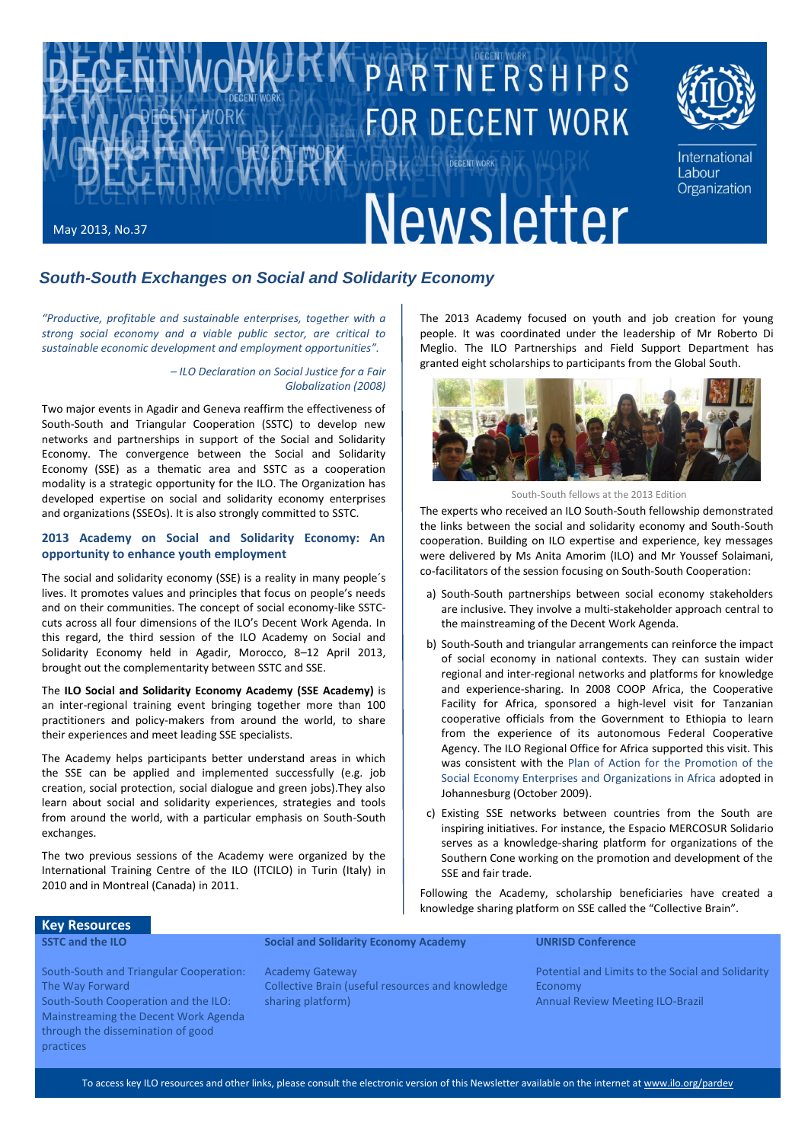

## *South-South Exchanges on Social and Solidarity Economy*

*"Productive, profitable and sustainable enterprises, together with a strong social economy and a viable public sector, are critical to sustainable economic development and employment opportunities".*

> *– ILO Declaration on Social Justice for a Fair Globalization (2008)*

Two major events in Agadir and Geneva reaffirm the effectiveness of South-South and Triangular Cooperation (SSTC) to develop new networks and partnerships in support of the Social and Solidarity Economy. The convergence between the Social and Solidarity Economy (SSE) as a thematic area and SSTC as a cooperation modality is a strategic opportunity for the ILO. The Organization has developed expertise on social and solidarity economy enterprises and organizations (SSEOs). It is also strongly committed to SSTC.

#### **2013 Academy on Social and Solidarity Economy: An opportunity to enhance youth employment**

The social and solidarity economy (SSE) is a reality in many people´s lives. It promotes values and principles that focus on people's needs and on their communities. The concept of social economy-like SSTCcuts across all four dimensions of the ILO's Decent Work Agenda. In this regard, the third session of the ILO Academy on Social and Solidarity Economy held in Agadir, Morocco, 8–12 April 2013, brought out the complementarity between SSTC and SSE.

The **ILO Social and Solidarity Economy Academy (SSE Academy)** is an inter-regional training event bringing together more than 100 practitioners and policy-makers from around the world, to share their experiences and meet leading SSE specialists.

The Academy helps participants better understand areas in which the SSE can be applied and implemented successfully (e.g. job creation, social protection, social dialogue and green jobs).They also learn about social and solidarity experiences, strategies and tools from around the world, with a particular emphasis on South-South exchanges.

The two previous sessions of the Academy were organized by the International Training Centre of the ILO (ITCILO) in Turin (Italy) in 2010 and in Montreal (Canada) in 2011.

The 2013 Academy focused on youth and job creation for young people. It was coordinated under the leadership of Mr Roberto Di Meglio. The ILO Partnerships and Field Support Department has granted eight scholarships to participants from the Global South.



South-South fellows at the 2013 Edition

The experts who received an ILO South-South fellowship demonstrated the links between the social and solidarity economy and South-South cooperation. Building on ILO expertise and experience, key messages were delivered by Ms Anita Amorim (ILO) and Mr Youssef Solaimani, co-facilitators of the session focusing on South-South Cooperation:

- a) South-South partnerships between social economy stakeholders are inclusive. They involve a multi-stakeholder approach central to the mainstreaming of the Decent Work Agenda.
- b) South-South and triangular arrangements can reinforce the impact of social economy in national contexts. They can sustain wider regional and inter-regional networks and platforms for knowledge and experience-sharing. In 2008 COOP Africa, the Cooperative Facility for Africa, sponsored a high-level visit for Tanzanian cooperative officials from the Government to Ethiopia to learn from the experience of its autonomous Federal Cooperative Agency. The ILO Regional Office for Africa supported this visit. This was consistent with the Plan of Action for the Promotion of the Social Economy Enterprises and Organizations in Africa adopted in Johannesburg (October 2009).
- c) Existing SSE networks between countries from the South are inspiring initiatives. For instance, the Espacio MERCOSUR Solidario serves as a knowledge-sharing platform for organizations of the Southern Cone working on the promotion and development of the SSE and fair trade.

Following the Academy, scholarship beneficiaries have created a knowledge sharing platform on SSE called the "Collective Brain".

# **Key Resources**

**SSTC and the ILO**

**Social and Solidarity Economy Academy**

#### **UNRISD Conference**

[South-South and Triangular Cooperation:](http://www.ilo.org/wcmsp5/groups/public/@ed_norm/@relconf/documents/meetingdocument/wcms_172577.pdf)  [The Way Forward](http://www.ilo.org/wcmsp5/groups/public/@ed_norm/@relconf/documents/meetingdocument/wcms_172577.pdf)

[South-South Cooperation and the ILO:](http://www.ilo.org/pardev/partnerships-and-relations/south-south/WCMS_211770/lang--en/index.htm)  [Mainstreaming the Decent Work Agenda](http://www.ilo.org/pardev/partnerships-and-relations/south-south/WCMS_211770/lang--en/index.htm)  [through the dissemination of good](http://www.ilo.org/pardev/partnerships-and-relations/south-south/WCMS_211770/lang--en/index.htm)  [practices](http://www.ilo.org/pardev/partnerships-and-relations/south-south/WCMS_211770/lang--en/index.htm)

[Academy Gateway](http://socialeconomy.itcilo.org/en) [Collective Brain \(useful resources and knowledge](http://www.sseacb.net/3rd_edition)  [sharing platform\)](http://www.sseacb.net/3rd_edition)

[Potential and Limits to the Social and Solidarity](http://www.unrisd.org/80256B3C005BD6AB/%28httpEvents%29/513E84D6BA2D56EEC1257AFA00469157?OpenDocument)  [Economy](http://www.unrisd.org/80256B3C005BD6AB/%28httpEvents%29/513E84D6BA2D56EEC1257AFA00469157?OpenDocument) [Annual Review Meeting ILO-Brazil](http://www.oitbrasil.org.br/node/834)

To access key ILO resources and other links, please consult the electronic version of this Newsletter available on the internet a[t www.ilo.org/pardev](file:///C:/Documents%20and%20Settings/g5exrel/Local%20Settings/Temp/XPgrpwise/www.ilo.org/pardev)